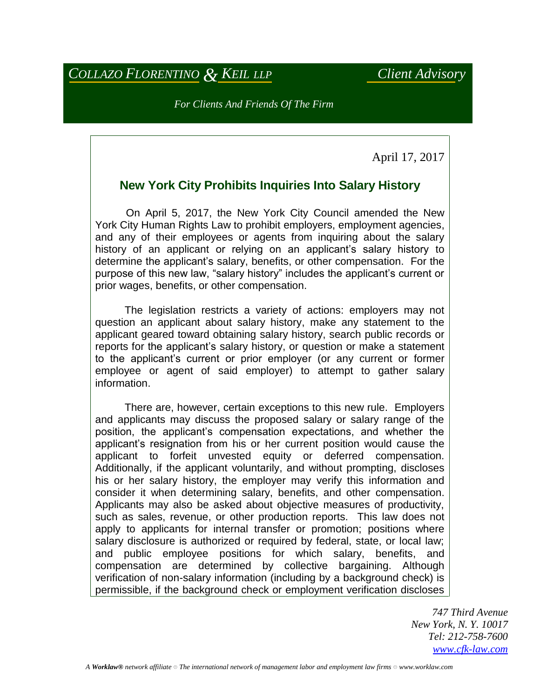## *COLLAZO FLORENTINO & KEIL LLP Client Advisory*

*For Clients And Friends Of The Firm*

April 17, 2017

## **New York City Prohibits Inquiries Into Salary History**

 On April 5, 2017, the New York City Council amended the New York City Human Rights Law to prohibit employers, employment agencies, and any of their employees or agents from inquiring about the salary history of an applicant or relying on an applicant's salary history to determine the applicant's salary, benefits, or other compensation. For the purpose of this new law, "salary history" includes the applicant's current or prior wages, benefits, or other compensation.

 The legislation restricts a variety of actions: employers may not question an applicant about salary history, make any statement to the applicant geared toward obtaining salary history, search public records or reports for the applicant's salary history, or question or make a statement to the applicant's current or prior employer (or any current or former employee or agent of said employer) to attempt to gather salary information.

 There are, however, certain exceptions to this new rule. Employers and applicants may discuss the proposed salary or salary range of the position, the applicant's compensation expectations, and whether the applicant's resignation from his or her current position would cause the applicant to forfeit unvested equity or deferred compensation. Additionally, if the applicant voluntarily, and without prompting, discloses his or her salary history, the employer may verify this information and consider it when determining salary, benefits, and other compensation. Applicants may also be asked about objective measures of productivity, such as sales, revenue, or other production reports. This law does not apply to applicants for internal transfer or promotion; positions where salary disclosure is authorized or required by federal, state, or local law; and public employee positions for which salary, benefits, and compensation are determined by collective bargaining. Although verification of non-salary information (including by a background check) is permissible, if the background check or employment verification discloses

> *747 Third Avenue New York, N. Y. 10017 Tel: 212-758-7600 [www.cfk-law.com](http://www.cfk-law.com/)*